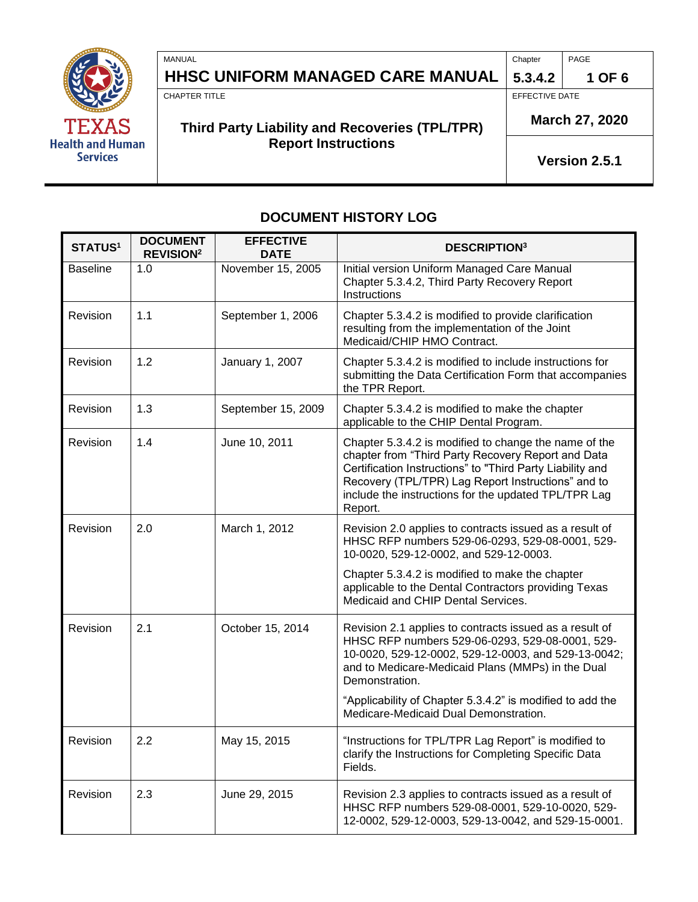

| MANUAL                                   | Chapter | PAGE   |
|------------------------------------------|---------|--------|
| HHSC UNIFORM MANAGED CARE MANUAL 5.3.4.2 |         | 1 OF 6 |

CHAPTER TITLE **EFFECTIVE DATE** 

# **March 27, 2020 Third Party Liability and Recoveries (TPL/TPR) Report Instructions**

**5.3.4.2** 

**Version 2.5.1**

# **DOCUMENT HISTORY LOG**

| <b>STATUS1</b>  | <b>DOCUMENT</b><br><b>REVISION<sup>2</sup></b> | <b>EFFECTIVE</b><br><b>DATE</b> | <b>DESCRIPTION3</b>                                                                                                                                                                                                                                                                               |
|-----------------|------------------------------------------------|---------------------------------|---------------------------------------------------------------------------------------------------------------------------------------------------------------------------------------------------------------------------------------------------------------------------------------------------|
| <b>Baseline</b> | 1.0                                            | November 15, 2005               | Initial version Uniform Managed Care Manual<br>Chapter 5.3.4.2, Third Party Recovery Report<br>Instructions                                                                                                                                                                                       |
| Revision        | 1.1                                            | September 1, 2006               | Chapter 5.3.4.2 is modified to provide clarification<br>resulting from the implementation of the Joint<br>Medicaid/CHIP HMO Contract.                                                                                                                                                             |
| Revision        | 1.2                                            | January 1, 2007                 | Chapter 5.3.4.2 is modified to include instructions for<br>submitting the Data Certification Form that accompanies<br>the TPR Report.                                                                                                                                                             |
| Revision        | 1.3                                            | September 15, 2009              | Chapter 5.3.4.2 is modified to make the chapter<br>applicable to the CHIP Dental Program.                                                                                                                                                                                                         |
| Revision        | 1.4                                            | June 10, 2011                   | Chapter 5.3.4.2 is modified to change the name of the<br>chapter from "Third Party Recovery Report and Data<br>Certification Instructions" to "Third Party Liability and<br>Recovery (TPL/TPR) Lag Report Instructions" and to<br>include the instructions for the updated TPL/TPR Lag<br>Report. |
| Revision        | 2.0                                            | March 1, 2012                   | Revision 2.0 applies to contracts issued as a result of<br>HHSC RFP numbers 529-06-0293, 529-08-0001, 529-<br>10-0020, 529-12-0002, and 529-12-0003.                                                                                                                                              |
|                 |                                                |                                 | Chapter 5.3.4.2 is modified to make the chapter<br>applicable to the Dental Contractors providing Texas<br>Medicaid and CHIP Dental Services.                                                                                                                                                     |
| Revision        | 2.1                                            | October 15, 2014                | Revision 2.1 applies to contracts issued as a result of<br>HHSC RFP numbers 529-06-0293, 529-08-0001, 529-<br>10-0020, 529-12-0002, 529-12-0003, and 529-13-0042;<br>and to Medicare-Medicaid Plans (MMPs) in the Dual<br>Demonstration.                                                          |
|                 |                                                |                                 | "Applicability of Chapter 5.3.4.2" is modified to add the<br>Medicare-Medicaid Dual Demonstration.                                                                                                                                                                                                |
| Revision        | 2.2                                            | May 15, 2015                    | "Instructions for TPL/TPR Lag Report" is modified to<br>clarify the Instructions for Completing Specific Data<br>Fields.                                                                                                                                                                          |
| Revision        | 2.3                                            | June 29, 2015                   | Revision 2.3 applies to contracts issued as a result of<br>HHSC RFP numbers 529-08-0001, 529-10-0020, 529-<br>12-0002, 529-12-0003, 529-13-0042, and 529-15-0001.                                                                                                                                 |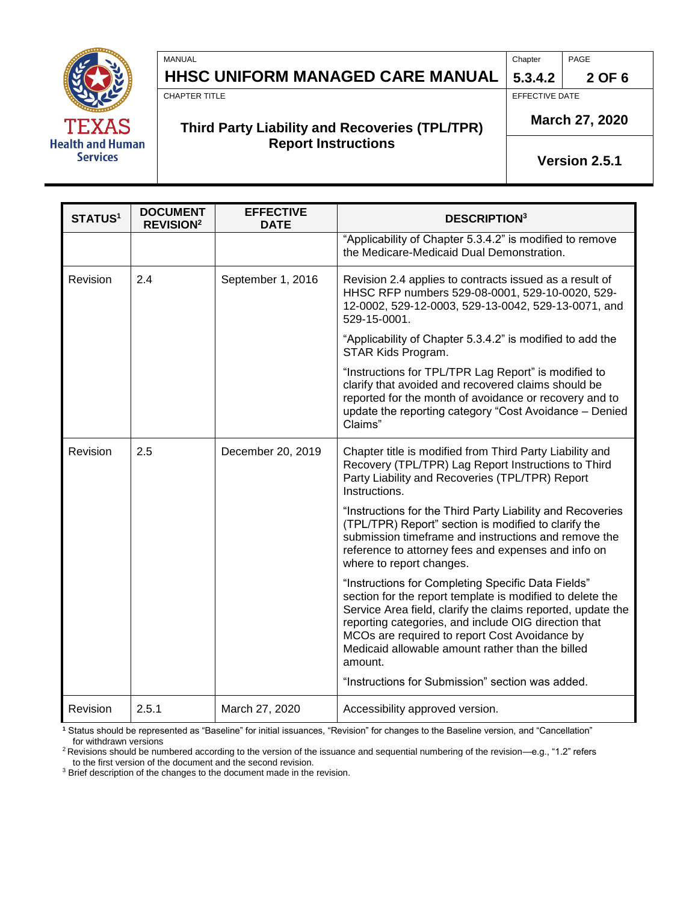

**HHSC UNIFORM MANAGED CARE MANUAL 5.3.4.2 2 OF 6**

MANUAL PAGE PROPERTY AND RELEASED AT A SERIES OF THE CHAPTER PAGE PAGE.

CHAPTER TITLE **EFFECTIVE DATE** 

# **Third Party Liability and Recoveries (TPL/TPR) Report Instructions**

**March 27, 2020**

**Version 2.5.1**

| <b>STATUS1</b> | <b>DOCUMENT</b><br><b>REVISION<sup>2</sup></b> | <b>EFFECTIVE</b><br><b>DATE</b> | <b>DESCRIPTION3</b>                                                                                                                                                                                                                                                                                                                                    |
|----------------|------------------------------------------------|---------------------------------|--------------------------------------------------------------------------------------------------------------------------------------------------------------------------------------------------------------------------------------------------------------------------------------------------------------------------------------------------------|
|                |                                                |                                 | "Applicability of Chapter 5.3.4.2" is modified to remove<br>the Medicare-Medicaid Dual Demonstration.                                                                                                                                                                                                                                                  |
| Revision       | 2.4                                            | September 1, 2016               | Revision 2.4 applies to contracts issued as a result of<br>HHSC RFP numbers 529-08-0001, 529-10-0020, 529-<br>12-0002, 529-12-0003, 529-13-0042, 529-13-0071, and<br>529-15-0001.                                                                                                                                                                      |
|                |                                                |                                 | "Applicability of Chapter 5.3.4.2" is modified to add the<br>STAR Kids Program.                                                                                                                                                                                                                                                                        |
|                |                                                |                                 | "Instructions for TPL/TPR Lag Report" is modified to<br>clarify that avoided and recovered claims should be<br>reported for the month of avoidance or recovery and to<br>update the reporting category "Cost Avoidance - Denied<br>Claims"                                                                                                             |
| Revision       | 2.5                                            | December 20, 2019               | Chapter title is modified from Third Party Liability and<br>Recovery (TPL/TPR) Lag Report Instructions to Third<br>Party Liability and Recoveries (TPL/TPR) Report<br>Instructions.                                                                                                                                                                    |
|                |                                                |                                 | "Instructions for the Third Party Liability and Recoveries<br>(TPL/TPR) Report" section is modified to clarify the<br>submission timeframe and instructions and remove the<br>reference to attorney fees and expenses and info on<br>where to report changes.                                                                                          |
|                |                                                |                                 | "Instructions for Completing Specific Data Fields"<br>section for the report template is modified to delete the<br>Service Area field, clarify the claims reported, update the<br>reporting categories, and include OIG direction that<br>MCOs are required to report Cost Avoidance by<br>Medicaid allowable amount rather than the billed<br>amount. |
|                |                                                |                                 | "Instructions for Submission" section was added.                                                                                                                                                                                                                                                                                                       |
| Revision       | 2.5.1                                          | March 27, 2020                  | Accessibility approved version.                                                                                                                                                                                                                                                                                                                        |

1<br><sup>1</sup> Status should be represented as "Baseline" for initial issuances, "Revision" for changes to the Baseline version, and "Cancellation" for withdrawn versions

<sup>2</sup>Revisions should be numbered according to the version of the issuance and sequential numbering of the revision—e.g., "1.2" refers to the first version of the document and the second revision.

<sup>3</sup> Brief description of the changes to the document made in the revision.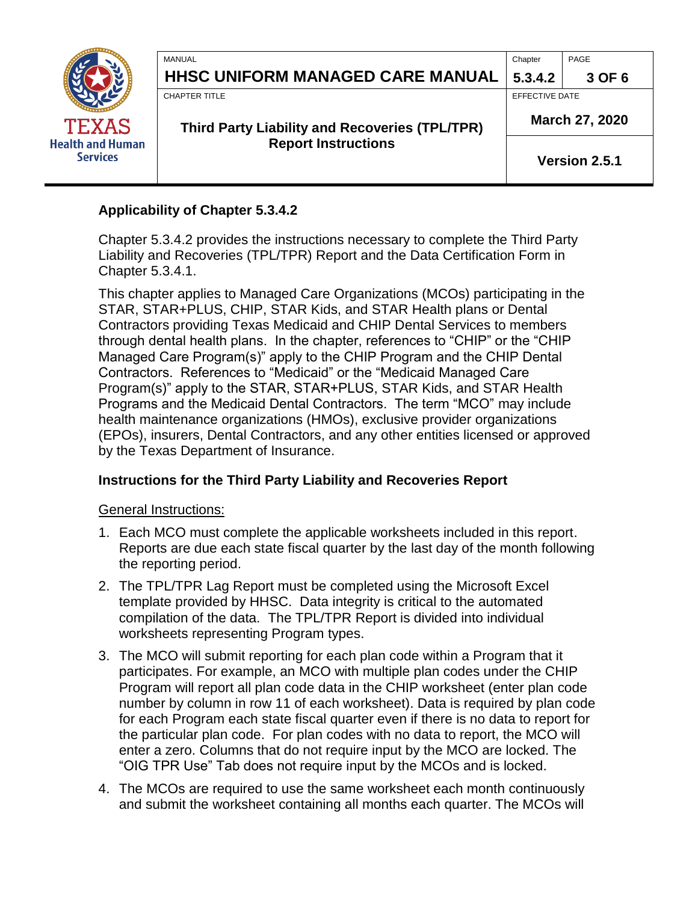| <b>TEXAS</b><br><b>Health and Human</b><br><b>Services</b> | MANUAL<br><b>HHSC UNIFORM MANAGED CARE MANUAL</b>                             | Chapter<br>5.3.4.2               | PAGE<br>3 OF 6 |
|------------------------------------------------------------|-------------------------------------------------------------------------------|----------------------------------|----------------|
|                                                            | <b>CHAPTER TITLE</b><br><b>Third Party Liability and Recoveries (TPL/TPR)</b> | EFFECTIVE DATE<br>March 27, 2020 |                |
|                                                            | <b>Report Instructions</b>                                                    | Version 2.5.1                    |                |

# **Applicability of Chapter 5.3.4.2**

Chapter 5.3.4.2 provides the instructions necessary to complete the Third Party Liability and Recoveries (TPL/TPR) Report and the Data Certification Form in Chapter 5.3.4.1.

This chapter applies to Managed Care Organizations (MCOs) participating in the STAR, STAR+PLUS, CHIP, STAR Kids, and STAR Health plans or Dental Contractors providing Texas Medicaid and CHIP Dental Services to members through dental health plans. In the chapter, references to "CHIP" or the "CHIP Managed Care Program(s)" apply to the CHIP Program and the CHIP Dental Contractors. References to "Medicaid" or the "Medicaid Managed Care Program(s)" apply to the STAR, STAR+PLUS, STAR Kids, and STAR Health Programs and the Medicaid Dental Contractors. The term "MCO" may include health maintenance organizations (HMOs), exclusive provider organizations (EPOs), insurers, Dental Contractors, and any other entities licensed or approved by the Texas Department of Insurance.

# **Instructions for the Third Party Liability and Recoveries Report**

General Instructions:

- 1. Each MCO must complete the applicable worksheets included in this report. Reports are due each state fiscal quarter by the last day of the month following the reporting period.
- 2. The TPL/TPR Lag Report must be completed using the Microsoft Excel template provided by HHSC. Data integrity is critical to the automated compilation of the data. The TPL/TPR Report is divided into individual worksheets representing Program types.
- 3. The MCO will submit reporting for each plan code within a Program that it participates. For example, an MCO with multiple plan codes under the CHIP Program will report all plan code data in the CHIP worksheet (enter plan code number by column in row 11 of each worksheet). Data is required by plan code for each Program each state fiscal quarter even if there is no data to report for the particular plan code. For plan codes with no data to report, the MCO will enter a zero. Columns that do not require input by the MCO are locked. The "OIG TPR Use" Tab does not require input by the MCOs and is locked.
- 4. The MCOs are required to use the same worksheet each month continuously and submit the worksheet containing all months each quarter. The MCOs will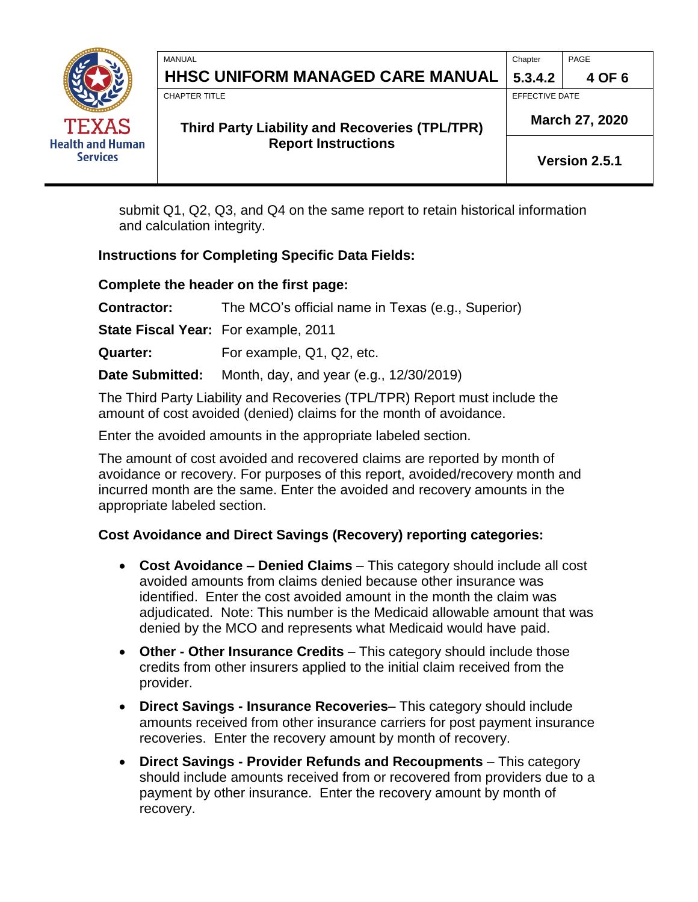| <b>TEXAS</b><br><b>Health and Human</b><br><b>Services</b> | MANUAL<br>HHSC UNIFORM MANAGED CARE MANUAL                                    | Chapter<br>5.3.4.2               | PAGE<br>4 OF 6 |
|------------------------------------------------------------|-------------------------------------------------------------------------------|----------------------------------|----------------|
|                                                            | <b>CHAPTER TITLE</b><br><b>Third Party Liability and Recoveries (TPL/TPR)</b> | EFFECTIVE DATE<br>March 27, 2020 |                |
|                                                            | <b>Report Instructions</b>                                                    | Version 2.5.1                    |                |

submit Q1, Q2, Q3, and Q4 on the same report to retain historical information and calculation integrity.

# **Instructions for Completing Specific Data Fields:**

## **Complete the header on the first page:**

**Contractor:** The MCO's official name in Texas (e.g., Superior)

**State Fiscal Year:** For example, 2011

**Quarter:** For example, Q1, Q2, etc.

**Date Submitted:** Month, day, and year (e.g., 12/30/2019)

The Third Party Liability and Recoveries (TPL/TPR) Report must include the amount of cost avoided (denied) claims for the month of avoidance.

Enter the avoided amounts in the appropriate labeled section.

The amount of cost avoided and recovered claims are reported by month of avoidance or recovery. For purposes of this report, avoided/recovery month and incurred month are the same. Enter the avoided and recovery amounts in the appropriate labeled section.

# **Cost Avoidance and Direct Savings (Recovery) reporting categories:**

- **Cost Avoidance – Denied Claims**  This category should include all cost avoided amounts from claims denied because other insurance was identified. Enter the cost avoided amount in the month the claim was adjudicated. Note: This number is the Medicaid allowable amount that was denied by the MCO and represents what Medicaid would have paid.
- **Other - Other Insurance Credits** This category should include those credits from other insurers applied to the initial claim received from the provider.
- **Direct Savings - Insurance Recoveries** This category should include amounts received from other insurance carriers for post payment insurance recoveries. Enter the recovery amount by month of recovery.
- **Direct Savings - Provider Refunds and Recoupments** This category should include amounts received from or recovered from providers due to a payment by other insurance. Enter the recovery amount by month of recovery.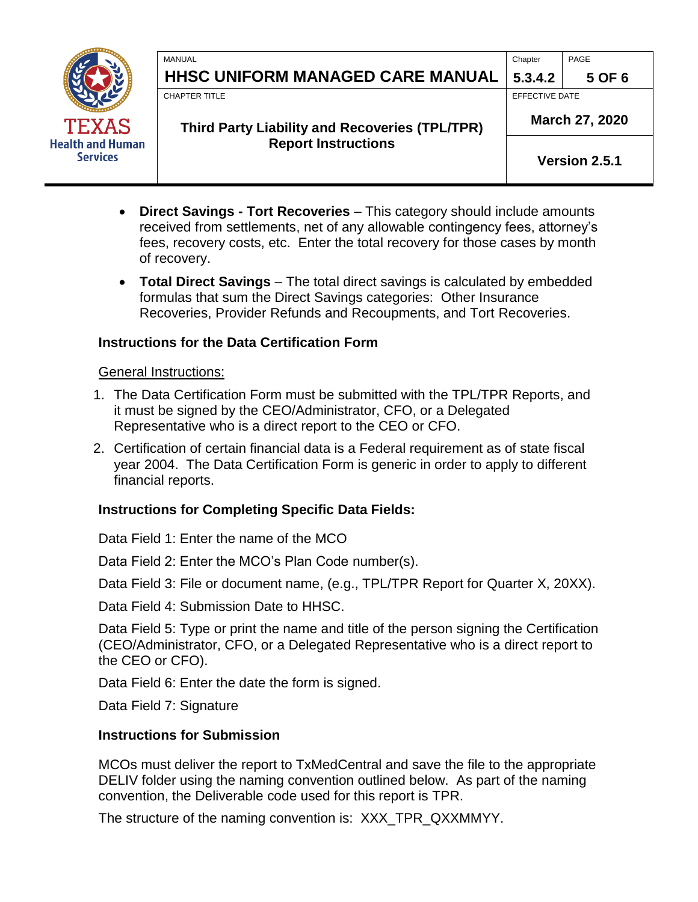|                                                            | MANUAL                                                | Chapter              | PAGE   |
|------------------------------------------------------------|-------------------------------------------------------|----------------------|--------|
| <b>TEXAS</b><br><b>Health and Human</b><br><b>Services</b> | HHSC UNIFORM MANAGED CARE MANUAL                      | 5.3.4.2              | 5 OF 6 |
|                                                            | <b>CHAPTER TITLE</b>                                  | EFFECTIVE DATE       |        |
|                                                            | <b>Third Party Liability and Recoveries (TPL/TPR)</b> | March 27, 2020       |        |
|                                                            | <b>Report Instructions</b>                            | <b>Version 2.5.1</b> |        |

- **Direct Savings - Tort Recoveries** This category should include amounts received from settlements, net of any allowable contingency fees, attorney's fees, recovery costs, etc. Enter the total recovery for those cases by month of recovery.
- **Total Direct Savings** The total direct savings is calculated by embedded formulas that sum the Direct Savings categories: Other Insurance Recoveries, Provider Refunds and Recoupments, and Tort Recoveries.

## **Instructions for the Data Certification Form**

## General Instructions:

- 1. The Data Certification Form must be submitted with the TPL/TPR Reports, and it must be signed by the CEO/Administrator, CFO, or a Delegated Representative who is a direct report to the CEO or CFO.
- 2. Certification of certain financial data is a Federal requirement as of state fiscal year 2004. The Data Certification Form is generic in order to apply to different financial reports.

## **Instructions for Completing Specific Data Fields:**

Data Field 1: Enter the name of the MCO

Data Field 2: Enter the MCO's Plan Code number(s).

Data Field 3: File or document name, (e.g., TPL/TPR Report for Quarter X, 20XX).

Data Field 4: Submission Date to HHSC.

Data Field 5: Type or print the name and title of the person signing the Certification (CEO/Administrator, CFO, or a Delegated Representative who is a direct report to the CEO or CFO).

Data Field 6: Enter the date the form is signed.

Data Field 7: Signature

# **Instructions for Submission**

MCOs must deliver the report to TxMedCentral and save the file to the appropriate DELIV folder using the naming convention outlined below. As part of the naming convention, the Deliverable code used for this report is TPR.

The structure of the naming convention is: XXX\_TPR\_QXXMMYY.